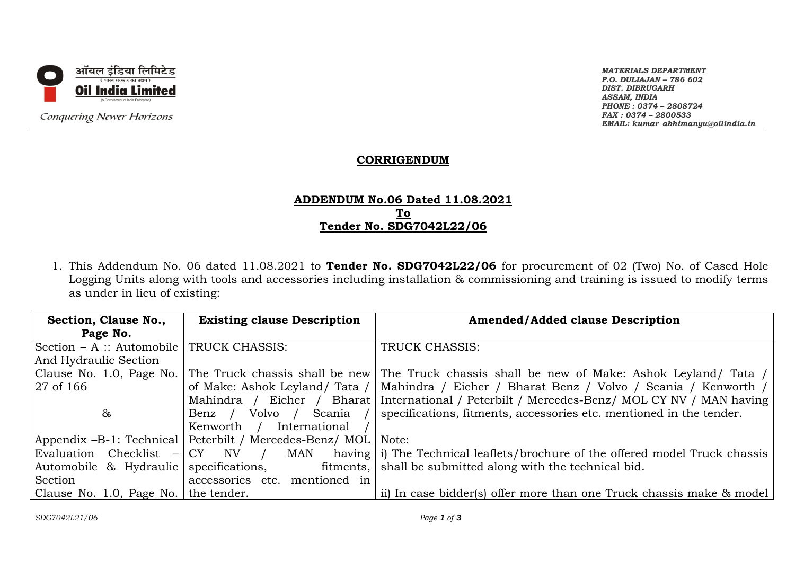

Conquering Newer Horizons

*MATERIALS DEPARTMENT P.O. DULIAJAN – 786 602 DIST. DIBRUGARH ASSAM, INDIA PHONE : 0374 – 2808724 FAX : 0374 – 2800533 EMAIL: kumar\_abhimanyu@oilindia.in*

## **CORRIGENDUM**

## **ADDENDUM No.06 Dated 11.08.2021 To Tender No. SDG7042L22/06**

1. This Addendum No. 06 dated 11.08.2021 to **Tender No. SDG7042L22/06** for procurement of 02 (Two) No. of Cased Hole Logging Units along with tools and accessories including installation & commissioning and training is issued to modify terms as under in lieu of existing:

| Section, Clause No.,                   | <b>Existing clause Description</b>                        | <b>Amended/Added clause Description</b>                                                    |
|----------------------------------------|-----------------------------------------------------------|--------------------------------------------------------------------------------------------|
| Page No.                               |                                                           |                                                                                            |
| Section $- A$ : Automobile             | TRUCK CHASSIS:                                            | TRUCK CHASSIS:                                                                             |
| And Hydraulic Section                  |                                                           |                                                                                            |
| Clause No. 1.0, Page No.               |                                                           | The Truck chassis shall be new The Truck chassis shall be new of Make: Ashok Leyland/ Tata |
| 27 of 166                              | of Make: Ashok Leyland/ Tata /                            | Mahindra / Eicher / Bharat Benz / Volvo / Scania / Kenworth /                              |
|                                        | Mahindra / Eicher / Bharat                                | International / Peterbilt / Mercedes-Benz/ MOL CY NV / MAN having                          |
| &                                      | Volvo /<br>Scania /<br>Benz /                             | specifications, fitments, accessories etc. mentioned in the tender.                        |
|                                        | International<br>Kenworth /                               |                                                                                            |
|                                        | Appendix -B-1: Technical   Peterbilt / Mercedes-Benz/ MOL | Note:                                                                                      |
| Evaluation Checklist                   | $-$ CY NV /<br>MAN                                        | having i) The Technical leaflets/brochure of the offered model Truck chassis               |
| Automobile & Hydraulic specifications, | fitments,                                                 | shall be submitted along with the technical bid.                                           |
| Section                                | accessories etc. mentioned in                             |                                                                                            |
| Clause No. 1.0, Page No. the tender.   |                                                           | ii) In case bidder(s) offer more than one Truck chassis make & model                       |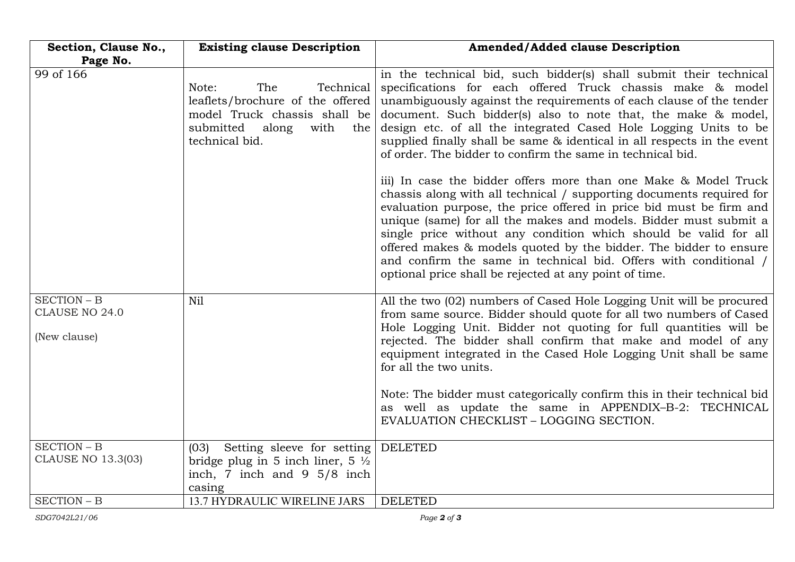| Section, Clause No.,                          | <b>Existing clause Description</b>                                                                                                                   | <b>Amended/Added clause Description</b>                                                                                                                                                                                                                                                                                                                                                                                                                                                                                                                   |
|-----------------------------------------------|------------------------------------------------------------------------------------------------------------------------------------------------------|-----------------------------------------------------------------------------------------------------------------------------------------------------------------------------------------------------------------------------------------------------------------------------------------------------------------------------------------------------------------------------------------------------------------------------------------------------------------------------------------------------------------------------------------------------------|
| Page No.                                      |                                                                                                                                                      |                                                                                                                                                                                                                                                                                                                                                                                                                                                                                                                                                           |
| 99 of 166                                     | Note:<br>The<br>Technical<br>leaflets/brochure of the offered<br>model Truck chassis shall be<br>submitted<br>along<br>with<br>the<br>technical bid. | in the technical bid, such bidder(s) shall submit their technical<br>specifications for each offered Truck chassis make & model<br>unambiguously against the requirements of each clause of the tender<br>document. Such bidder(s) also to note that, the make & model,<br>design etc. of all the integrated Cased Hole Logging Units to be<br>supplied finally shall be same & identical in all respects in the event<br>of order. The bidder to confirm the same in technical bid.                                                                      |
|                                               |                                                                                                                                                      | iii) In case the bidder offers more than one Make & Model Truck<br>chassis along with all technical / supporting documents required for<br>evaluation purpose, the price offered in price bid must be firm and<br>unique (same) for all the makes and models. Bidder must submit a<br>single price without any condition which should be valid for all<br>offered makes & models quoted by the bidder. The bidder to ensure<br>and confirm the same in technical bid. Offers with conditional /<br>optional price shall be rejected at any point of time. |
| SECTION - B<br>CLAUSE NO 24.0<br>(New clause) | Nil                                                                                                                                                  | All the two (02) numbers of Cased Hole Logging Unit will be procured<br>from same source. Bidder should quote for all two numbers of Cased<br>Hole Logging Unit. Bidder not quoting for full quantities will be<br>rejected. The bidder shall confirm that make and model of any<br>equipment integrated in the Cased Hole Logging Unit shall be same<br>for all the two units.                                                                                                                                                                           |
|                                               |                                                                                                                                                      | Note: The bidder must categorically confirm this in their technical bid<br>as well as update the same in APPENDIX-B-2: TECHNICAL<br>EVALUATION CHECKLIST - LOGGING SECTION.                                                                                                                                                                                                                                                                                                                                                                               |
| SECTION - B<br><b>CLAUSE NO 13.3(03)</b>      | Setting sleeve for setting DELETED<br>(03)<br>bridge plug in 5 inch liner, $5\frac{1}{2}$<br>inch, 7 inch and 9 $5/8$ inch<br>casing                 |                                                                                                                                                                                                                                                                                                                                                                                                                                                                                                                                                           |
| SECTION - B                                   | <b>13.7 HYDRAULIC WIRELINE JARS</b>                                                                                                                  | <b>DELETED</b>                                                                                                                                                                                                                                                                                                                                                                                                                                                                                                                                            |